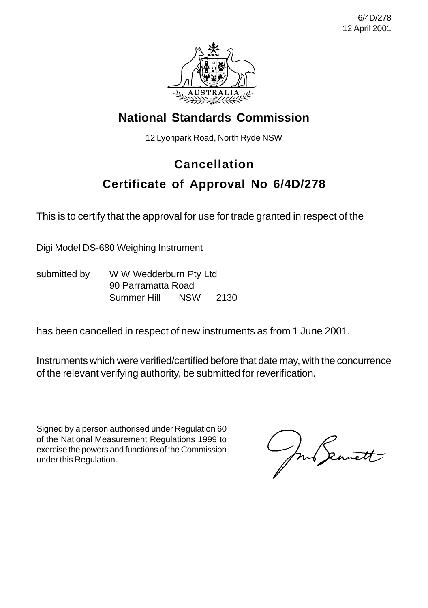

## **National Standards Commission**

12 Lyonpark Road, North Ryde NSW

## **Cancellation**

## **Certificate of Approval No 6/4D/278**

This is to certify that the approval for use for trade granted in respect of the

Digi Model DS-680 Weighing Instrument

submitted by WW Wedderburn Pty Ltd 90 Parramatta Road Summer Hill NSW 2130

has been cancelled in respect of new instruments as from 1 June 2001.

Instruments which were verified/certified before that date may, with the concurrence of the relevant verifying authority, be submitted for reverification.

Signed by a person authorised under Regulation 60 of the National Measurement Regulations 1999 to exercise the powers and functions of the Commission under this Regulation.

Jun Seanett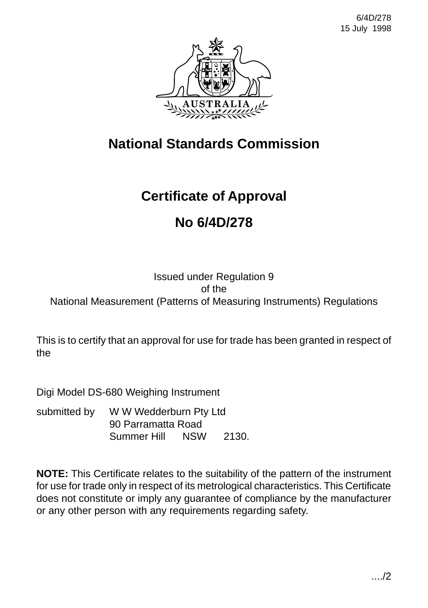

# **National Standards Commission**

# **Certificate of Approval**

# **No 6/4D/278**

### Issued under Regulation 9 of the National Measurement (Patterns of Measuring Instruments) Regulations

This is to certify that an approval for use for trade has been granted in respect of the

Digi Model DS-680 Weighing Instrument

submitted by W W Wedderburn Pty Ltd 90 Parramatta Road Summer Hill NSW 2130.

**NOTE:** This Certificate relates to the suitability of the pattern of the instrument for use for trade only in respect of its metrological characteristics. This Certificate does not constitute or imply any guarantee of compliance by the manufacturer or any other person with any requirements regarding safety.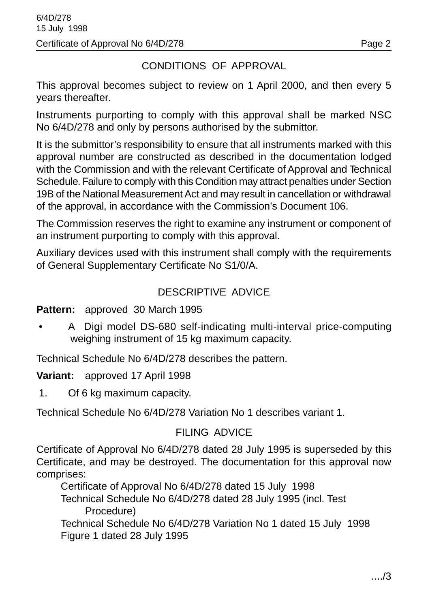### CONDITIONS OF APPROVAL

This approval becomes subject to review on 1 April 2000, and then every 5 years thereafter.

Instruments purporting to comply with this approval shall be marked NSC No 6/4D/278 and only by persons authorised by the submittor.

It is the submittor's responsibility to ensure that all instruments marked with this approval number are constructed as described in the documentation lodged with the Commission and with the relevant Certificate of Approval and Technical Schedule. Failure to comply with this Condition may attract penalties under Section 19B of the National Measurement Act and may result in cancellation or withdrawal of the approval, in accordance with the Commission's Document 106.

The Commission reserves the right to examine any instrument or component of an instrument purporting to comply with this approval.

Auxiliary devices used with this instrument shall comply with the requirements of General Supplementary Certificate No S1/0/A.

### DESCRIPTIVE ADVICE

**Pattern:** approved 30 March 1995

• A Digi model DS-680 self-indicating multi-interval price-computing weighing instrument of 15 kg maximum capacity.

Technical Schedule No 6/4D/278 describes the pattern.

**Variant:** approved 17 April 1998

1. Of 6 kg maximum capacity.

Technical Schedule No 6/4D/278 Variation No 1 describes variant 1.

### FILING ADVICE

Certificate of Approval No 6/4D/278 dated 28 July 1995 is superseded by this Certificate, and may be destroyed. The documentation for this approval now comprises:

Certificate of Approval No 6/4D/278 dated 15 July 1998

Technical Schedule No 6/4D/278 dated 28 July 1995 (incl. Test Procedure)

Technical Schedule No 6/4D/278 Variation No 1 dated 15 July 1998 Figure 1 dated 28 July 1995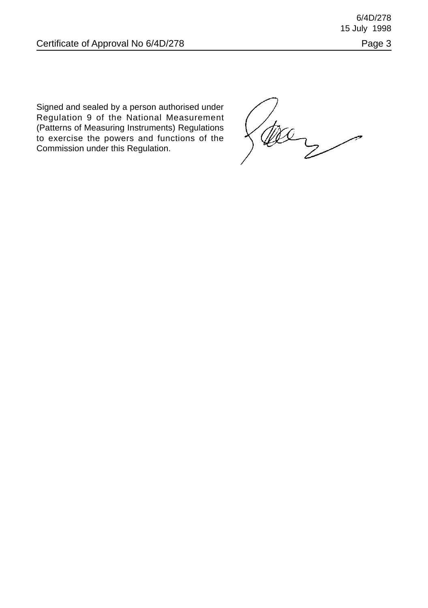6/4D/278 15 July 1998

Signed and sealed by a person authorised under Regulation 9 of the National Measurement (Patterns of Measuring Instruments) Regulations to exercise the powers and functions of the Commission under this Regulation.

tec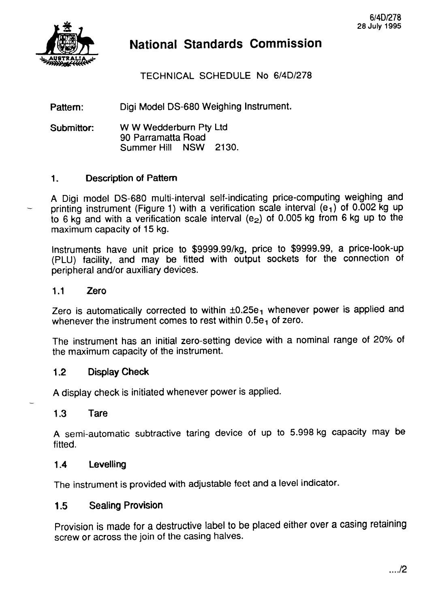

## **National Standards Commission**

TECHNICAL SCHEDULE No 6/4D/278

Pattern: Digi Model DS-680 Weighing Instrument.

**Submittor:** W W Wedderburn Pty Ltd 90 Parramatta Road<br>Summer Hill NSW 2130. Summer Hill

#### **1. Description of Pattern**

A Digi model DS-680 multi-interval self-indicating price-computing weighing and printing instrument (Figure 1) with a verification scale interval  $(e_1)$  of 0.002 kg up to 6 kg and with a verification scale interval (e<sub>2</sub>) of 0.005 kg from 6 kg up to the maximum capacity of 15 kg.

Instruments have unit price to \$9999.99/kg, price to \$9999.99, a price-look-up (PLU) facility, and may be fitted with output sockets for the connection of peripheral and/or auxiliary devices.

#### **1.1 Zero**

Zero is automatically corrected to within  $\pm 0.25e_1$  whenever power is applied and whenever the instrument comes to rest within  $0.5e<sub>1</sub>$  of zero.

The instrument has an initial zero-setting device with a nominal range of 20% of the maximum capacity of the instrument.

#### **1.2 Display Check**

A display check is initiated whenever power is applied.

#### **1.3 Tare**

A semi-automatic subtractive taring device of up to 5.998 kg capacity may be fitted.

#### **1.4 Levelling**

The instrument is provided with adjustable feet and a level indicator.

#### **1.5 Sealing Provision**

Provision is made for a destructive label to be placed either over a casing retaining screw or across the join of the casing halves.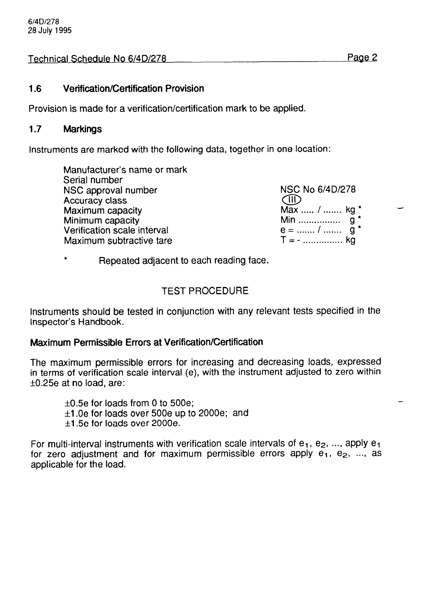#### Technical Schedule No 6/4D/278 Page 2

#### **1.6 Verification/Certification Provision**

Provision is made for a verification/certification mark to be applied.

#### **1.7 Markings**

Instruments are marked with the following data, together in one location:

| NSC No 6/4D/278 |
|-----------------|
| <b>AID</b>      |
| Max  /  kg *    |
|                 |
| $e =$ /  g *    |
| $T = -$ kg      |
|                 |

<sup>+</sup>Repeated adjacent to each reading face.

#### TEST PROCEDURE

Instruments should be tested in conjunction with any relevant tests specified in the Inspector's Handbook.

#### **Maximum Permissible Errors at Verification/Certification**

The maximum permissible errors for increasing and decreasing loads, expressed in terms of verification scale interval (e), with the instrument adjusted to zero within  $±0.25e$  at no load, are:

 $\pm 0.5e$  for loads from 0 to 500e;  $\pm$ 1.0e for loads over 500e up to 2000e; and  $\pm$ 1.5e for loads over 2000e.

For multi-interval instruments with verification scale intervals of  $e_1$ ,  $e_2$ , ..., apply  $e_1$ for zero adjustment and for maximum permissible errors apply  $e_1$ ,  $e_2$ , ..., as applicable for the load.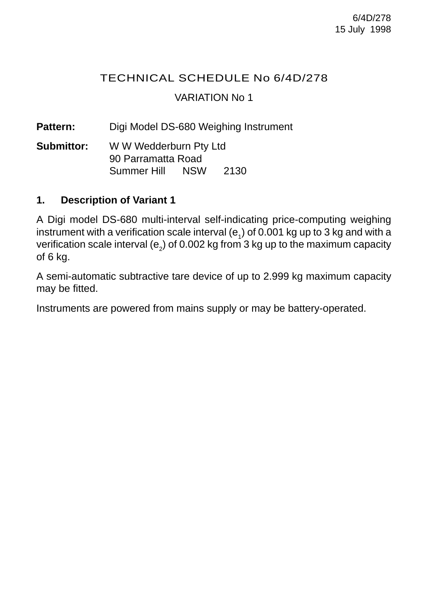### TECHNICAL SCHEDULE No 6/4D/278 VARIATION No 1

Pattern: Digi Model DS-680 Weighing Instrument

**Submittor:** W W Wedderburn Pty Ltd 90 Parramatta Road Summer Hill NSW 2130

#### **1. Description of Variant 1**

A Digi model DS-680 multi-interval self-indicating price-computing weighing instrument with a verification scale interval ( $e_1$ ) of 0.001 kg up to 3 kg and with a verification scale interval (e<sub>2</sub>) of 0.002 kg from 3 kg up to the maximum capacity of 6 kg.

A semi-automatic subtractive tare device of up to 2.999 kg maximum capacity may be fitted.

Instruments are powered from mains supply or may be battery-operated.